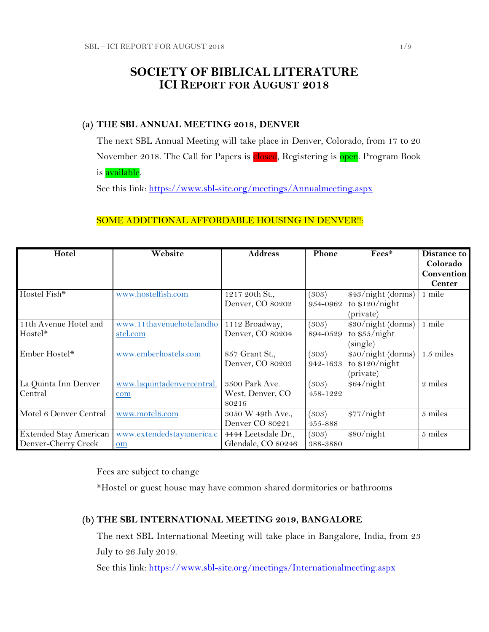# **SOCIETY OF BIBLICAL LITERATURE ICI REPORT FOR AUGUST 2018**

### **(a) THE SBL ANNUAL MEETING 2018, DENVER**

The next SBL Annual Meeting will take place in Denver, Colorado, from 17 to 20 November 2018. The Call for Papers is closed, Registering is open. Program Book is available.

See this link:<https://www.sbl-site.org/meetings/Annualmeeting.aspx>

## SOME ADDITIONAL AFFORDABLE HOUSING IN DENVER !!:

| Hotel                  | Website                    | <b>Address</b>      | Phone    | Fees*              | Distance to   |
|------------------------|----------------------------|---------------------|----------|--------------------|---------------|
|                        |                            |                     |          |                    | Colorado      |
|                        |                            |                     |          |                    | Convention    |
|                        |                            |                     |          |                    | <b>Center</b> |
| Hostel Fish*           | www.hostelfish.com         | 1217 20th St.,      | (303)    | \$43/night (dorms) | 1 mile        |
|                        |                            | Denver, CO 80202    | 954-0962 | to $$120/night$    |               |
|                        |                            |                     |          | (private)          |               |
| 11th Avenue Hotel and  | www.11thavenuehotelandho   | 1112 Broadway,      | (303)    | \$30/night (dorms) | 1 mile        |
| Hostel*                | stel.com                   | Denver, CO 80204    | 894-0529 | to $$55/night$     |               |
|                        |                            |                     |          | (single)           |               |
| Ember Hostel*          | www.emberhostels.com       | 857 Grant St.,      | (303)    | \$50/night (dorms) | $1.5$ miles   |
|                        |                            | Denver, CO 80203    | 942-1633 | to $$120/night$    |               |
|                        |                            |                     |          | (private)          |               |
| La Quinta Inn Denver   | www.laquintadenvercentral. | 3500 Park Ave.      | (303)    | \$64/night         | 2 miles       |
| Central                | com                        | West, Denver, CO    | 458-1222 |                    |               |
|                        |                            | 80216               |          |                    |               |
| Motel 6 Denver Central | www.motel6.com             | 3050 W 49th Ave.,   | (303)    | \$77/night         | 5 miles       |
|                        |                            | Denver CO 80221     | 455-888  |                    |               |
| Extended Stay American | www.extendedstayamerica.c  | 4444 Leetsdale Dr., | (303)    | \$80/night         | 5 miles       |
| Denver-Cherry Creek    | om                         | Glendale, CO 80246  | 388-3880 |                    |               |

Fees are subject to change

\*Hostel or guest house may have common shared dormitories or bathrooms

## **(b) THE SBL INTERNATIONAL MEETING 2019, BANGALORE**

The next SBL International Meeting will take place in Bangalore, India, from 23 July to 26 July 2019.

See this link:<https://www.sbl-site.org/meetings/Internationalmeeting.aspx>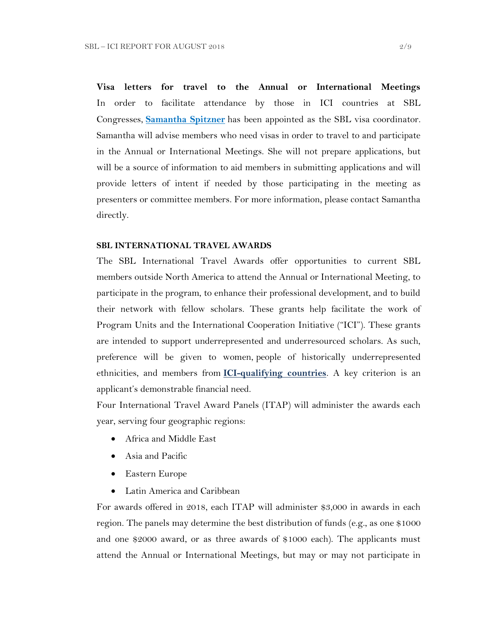**Visa letters for travel to the Annual or International Meetings** In order to facilitate attendance by those in ICI countries at SBL Congresses, **[Samantha Spitzner](mailto:samantha.spitzner@sbl-site.org)** has been appointed as the SBL visa coordinator. Samantha will advise members who need visas in order to travel to and participate in the Annual or International Meetings. She will not prepare applications, but will be a source of information to aid members in submitting applications and will provide letters of intent if needed by those participating in the meeting as presenters or committee members. For more information, please contact Samantha directly.

#### **SBL INTERNATIONAL TRAVEL AWARDS**

The SBL International Travel Awards offer opportunities to current SBL members outside North America to attend the Annual or International Meeting, to participate in the program, to enhance their professional development, and to build their network with fellow scholars. These grants help facilitate the work of Program Units and the International Cooperation Initiative ("ICI"). These grants are intended to support underrepresented and underresourced scholars. As such, preference will be given to women, people of historically underrepresented ethnicities, and members from **[ICI-qualifying countries](https://www.sbl-site.org/assets/pdfs/ICIcountries.pdf)**. A key criterion is an applicant's demonstrable financial need.

Four International Travel Award Panels (ITAP) will administer the awards each year, serving four geographic regions:

- Africa and Middle East
- Asia and Pacific
- Eastern Europe
- Latin America and Caribbean

For awards offered in 2018, each ITAP will administer \$3,000 in awards in each region. The panels may determine the best distribution of funds (e.g., as one \$1000 and one \$2000 award, or as three awards of \$1000 each). The applicants must attend the Annual or International Meetings, but may or may not participate in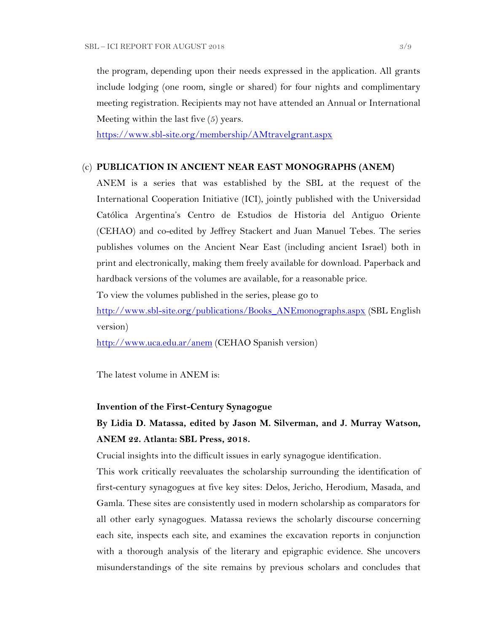the program, depending upon their needs expressed in the application. All grants include lodging (one room, single or shared) for four nights and complimentary meeting registration. Recipients may not have attended an Annual or International Meeting within the last five (5) years.

<https://www.sbl-site.org/membership/AMtravelgrant.aspx>

### (c) **PUBLICATION IN [ANCIENT NEAR EAST MONOGRAPHS](http://www.sbl-site.org/publications/Books_ANEmonographs.aspx) (ANEM)**

ANEM is a series that was established by the SBL at the request of the International Cooperation Initiative (ICI), jointly published with the Universidad Católica Argentina's Centro de Estudios de Historia del Antiguo Oriente (CEHAO) and co-edited by Jeffrey Stackert and Juan Manuel Tebes. The series publishes volumes on the Ancient Near East (including ancient Israel) both in print and electronically, making them freely available for download. Paperback and hardback versions of the volumes are available, for a reasonable price.

To view the volumes published in the series, please go to

[http://www.sbl-site.org/publications/Books\\_ANEmonographs.aspx](http://www.sbl-site.org/publications/Books_ANEmonographs.aspx) (SBL English version)

<http://www.uca.edu.ar/anem> (CEHAO Spanish version)

The latest volume in ANEM is:

#### **Invention of the First-Century Synagogue**

# **By Lidia D. Matassa, edited by Jason M. Silverman, and J. Murray Watson, ANEM 22. Atlanta: SBL Press, 2018.**

Crucial insights into the difficult issues in early synagogue identification.

This work critically reevaluates the scholarship surrounding the identification of first-century synagogues at five key sites: Delos, Jericho, Herodium, Masada, and Gamla. These sites are consistently used in modern scholarship as comparators for all other early synagogues. Matassa reviews the scholarly discourse concerning each site, inspects each site, and examines the excavation reports in conjunction with a thorough analysis of the literary and epigraphic evidence. She uncovers misunderstandings of the site remains by previous scholars and concludes that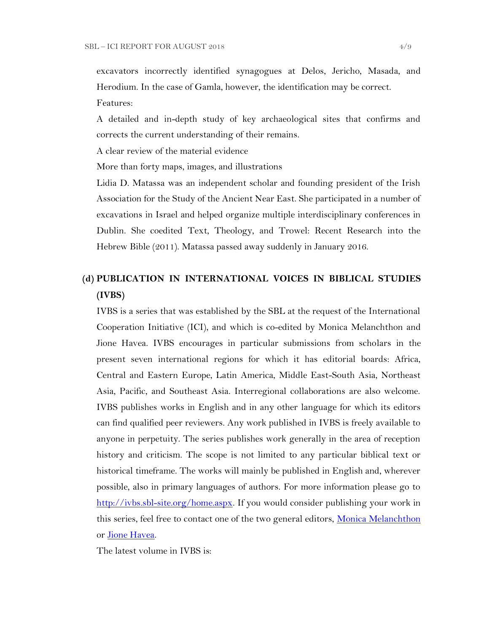excavators incorrectly identified synagogues at Delos, Jericho, Masada, and Herodium. In the case of Gamla, however, the identification may be correct.

Features:

A detailed and in-depth study of key archaeological sites that confirms and corrects the current understanding of their remains.

A clear review of the material evidence

More than forty maps, images, and illustrations

Lidia D. Matassa was an independent scholar and founding president of the Irish Association for the Study of the Ancient Near East. She participated in a number of excavations in Israel and helped organize multiple interdisciplinary conferences in Dublin. She coedited Text, Theology, and Trowel: Recent Research into the Hebrew Bible (2011). Matassa passed away suddenly in January 2016.

# **(d) PUBLICATION IN INTERNATIONAL VOICES IN BIBLICAL STUDIES (IVBS)**

IVBS is a series that was established by the SBL at the request of the International Cooperation Initiative (ICI), and which is co-edited by Monica Melanchthon and Jione Havea. IVBS encourages in particular submissions from scholars in the present seven international regions for which it has editorial boards: Africa, Central and Eastern Europe, Latin America, Middle East-South Asia, Northeast Asia, Pacific, and Southeast Asia. Interregional collaborations are also welcome. IVBS publishes works in English and in any other language for which its editors can find qualified peer reviewers. Any work published in IVBS is freely available to anyone in perpetuity. The series publishes work generally in the area of reception history and criticism. The scope is not limited to any particular biblical text or historical timeframe. The works will mainly be published in English and, wherever possible, also in primary languages of authors. For more information please go to [http://ivbs.sbl-site.org/home.aspx.](http://ivbs.sbl-site.org/home.aspx) If you would consider publishing your work in this series, feel free to contact one of the two general editors, [Monica Melanchthon](mailto:ivbs2010@gmail.com) or [Jione Havea.](mailto:jioneh@nsw.uca.org.au)

The latest volume in IVBS is: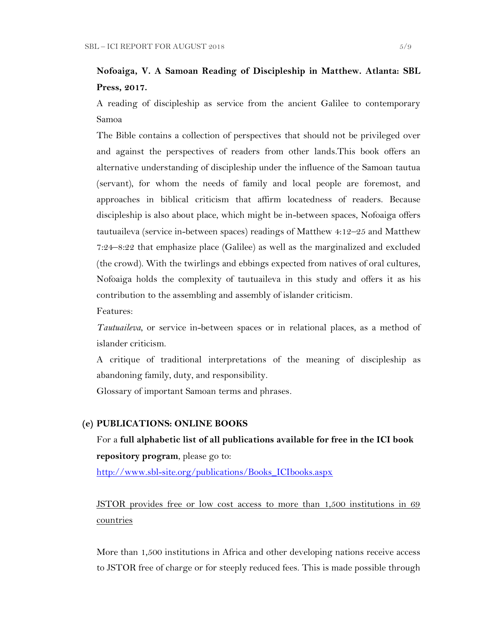# **Nofoaiga, V. A Samoan Reading of Discipleship in Matthew. Atlanta: SBL Press, 2017.**

A reading of discipleship as service from the ancient Galilee to contemporary Samoa

The Bible contains a collection of perspectives that should not be privileged over and against the perspectives of readers from other lands.This book offers an alternative understanding of discipleship under the influence of the Samoan tautua (servant), for whom the needs of family and local people are foremost, and approaches in biblical criticism that affirm locatedness of readers. Because discipleship is also about place, which might be in-between spaces, Nofoaiga offers tautuaileva (service in-between spaces) readings of Matthew 4:12–25 and Matthew 7:24–8:22 that emphasize place (Galilee) as well as the marginalized and excluded (the crowd). With the twirlings and ebbings expected from natives of oral cultures, Nofoaiga holds the complexity of tautuaileva in this study and offers it as his contribution to the assembling and assembly of islander criticism.

Features:

*Tautuaileva*, or service in-between spaces or in relational places, as a method of islander criticism.

A critique of traditional interpretations of the meaning of discipleship as abandoning family, duty, and responsibility.

Glossary of important Samoan terms and phrases.

#### **(e) PUBLICATIONS: ONLINE BOOKS**

# For a **full alphabetic list of all publications available for free in the ICI book repository program**, please go to:

[http://www.sbl-site.org/publications/Books\\_ICIbooks.aspx](http://www.sbl-site.org/publications/Books_ICIbooks.aspx)

JSTOR provides free or low cost access to more than 1,500 institutions in 69 countries

More than 1,500 institutions in Africa and other developing nations receive access to JSTOR free of charge or for steeply reduced fees. This is made possible through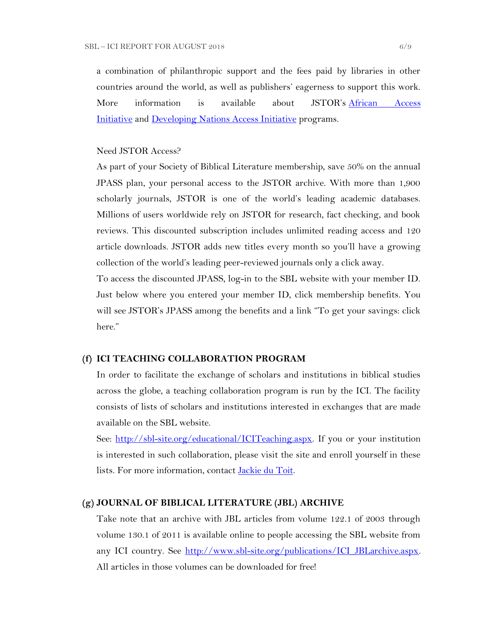a combination of philanthropic support and the fees paid by libraries in other countries around the world, as well as publishers' eagerness to support this work. More information is available about JSTOR's [African Access](http://about.jstor.org/libraries/african-access-initiative)  [Initiative](http://about.jstor.org/libraries/african-access-initiative) and [Developing Nations Access Initiative](http://about.jstor.org/libraries/developing-nations-access-initiative) programs.

#### Need JSTOR Access?

As part of your Society of Biblical Literature membership, save 50% on the annual JPASS plan, your personal access to the JSTOR archive. With more than 1,900 scholarly journals, JSTOR is one of the world's leading academic databases. Millions of users worldwide rely on JSTOR for research, fact checking, and book reviews. This discounted subscription includes unlimited reading access and 120 article downloads. JSTOR adds new titles every month so you'll have a growing collection of the world's leading peer-reviewed journals only a click away.

To access the discounted JPASS, log-in to the SBL website with your member ID. Just below where you entered your member ID, click membership benefits. You will see JSTOR's JPASS among the benefits and a link "To get your savings: click here."

#### **(f) ICI TEACHING COLLABORATION PROGRAM**

In order to facilitate the exchange of scholars and institutions in biblical studies across the globe, a teaching collaboration program is run by the ICI. The facility consists of lists of scholars and institutions interested in exchanges that are made available on the SBL website.

See: [http://sbl-site.org/educational/ICITeaching.aspx.](http://sbl-site.org/educational/ICITeaching.aspx) If you or your institution is interested in such collaboration, please visit the site and enroll yourself in these lists. For more information, contact [Jackie du Toit.](mailto:dutoitjs@ufs.ac.za)

#### **(g) JOURNAL OF BIBLICAL LITERATURE (JBL) ARCHIVE**

Take note that an archive with JBL articles from volume 122.1 of 2003 through volume 130.1 of 2011 is available online to people accessing the SBL website from any ICI country. See http://www.sbl-site.org/publications/ICI\_JBLarchive.aspx. All articles in those volumes can be downloaded for free!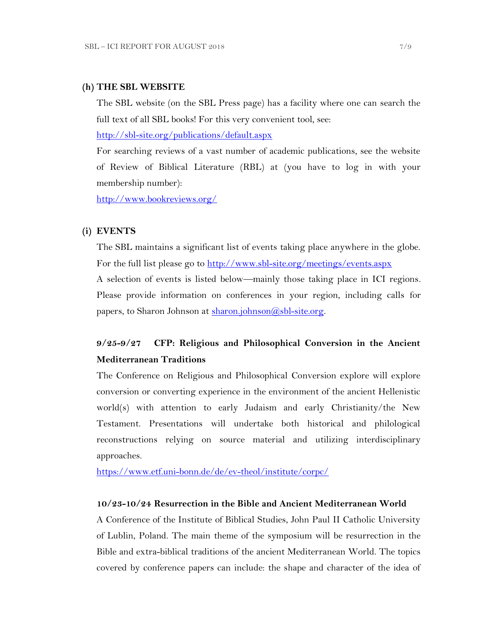#### **(h) THE SBL WEBSITE**

The SBL website (on the SBL Press page) has a facility where one can search the full text of all SBL books! For this very convenient tool, see:

<http://sbl-site.org/publications/default.aspx>

For searching reviews of a vast number of academic publications, see the website of Review of Biblical Literature (RBL) at (you have to log in with your membership number):

<http://www.bookreviews.org/>

#### **(i) EVENTS**

The SBL maintains a significant list of events taking place anywhere in the globe. For the full list please go to<http://www.sbl-site.org/meetings/events.aspx> A selection of events is listed below—mainly those taking place in ICI regions. Please provide information on conferences in your region, including calls for papers, to Sharon Johnson at  $\frac{\text{sharon.}(\hat{a}, \text{sb1-site.} \text{org.}}{\text{g.}}$ 

# **9/25-9/27 CFP: Religious and Philosophical Conversion in the Ancient Mediterranean Traditions**

The Conference on Religious and Philosophical Conversion explore will explore conversion or converting experience in the environment of the ancient Hellenistic world(s) with attention to early Judaism and early Christianity/the New Testament. Presentations will undertake both historical and philological reconstructions relying on source material and utilizing interdisciplinary approaches.

<https://www.etf.uni-bonn.de/de/ev-theol/institute/corpc/>

#### **10/23-10/24 Resurrection in the Bible and Ancient Mediterranean World**

A Conference of the Institute of Biblical Studies, John Paul II Catholic University of Lublin, Poland. The main theme of the symposium will be resurrection in the Bible and extra-biblical traditions of the ancient Mediterranean World. The topics covered by conference papers can include: the shape and character of the idea of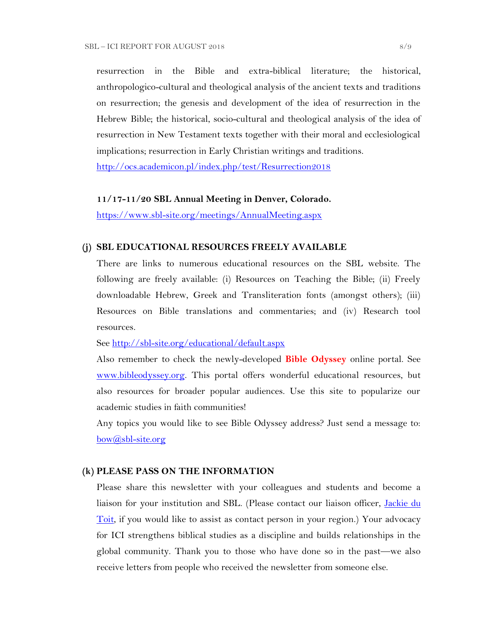resurrection in the Bible and extra-biblical literature; the historical, anthropologico-cultural and theological analysis of the ancient texts and traditions on resurrection; the genesis and development of the idea of resurrection in the Hebrew Bible; the historical, socio-cultural and theological analysis of the idea of resurrection in New Testament texts together with their moral and ecclesiological implications; resurrection in Early Christian writings and traditions.

<http://ocs.academicon.pl/index.php/test/Resurrection2018>

#### **11/17-11/20 SBL Annual Meeting in Denver, Colorado.**

<https://www.sbl-site.org/meetings/AnnualMeeting.aspx>

### **(j) SBL EDUCATIONAL RESOURCES FREELY AVAILABLE**

There are links to numerous educational resources on the SBL website. The following are freely available: (i) Resources on Teaching the Bible; (ii) Freely downloadable Hebrew, Greek and Transliteration fonts (amongst others); (iii) Resources on Bible translations and commentaries; and (iv) Research tool resources.

See<http://sbl-site.org/educational/default.aspx>

Also remember to check the newly-developed **Bible Odyssey** online portal. See [www.bibleodyssey.org.](http://www.bibleodyssey.org/) This portal offers wonderful educational resources, but also resources for broader popular audiences. Use this site to popularize our academic studies in faith communities!

Any topics you would like to see Bible Odyssey address? Just send a message to: [bow@sbl-site.org](mailto:bow@sbl-site.org)

#### **(k) PLEASE PASS ON THE INFORMATION**

Please share this newsletter with your colleagues and students and become a liaison for your institution and SBL. (Please contact our liaison officer, [Jackie du](mailto:dutoitjs@ufs.ac.za)  [Toit,](mailto:dutoitjs@ufs.ac.za) if you would like to assist as contact person in your region.) Your advocacy for ICI strengthens biblical studies as a discipline and builds relationships in the global community. Thank you to those who have done so in the past—we also receive letters from people who received the newsletter from someone else.